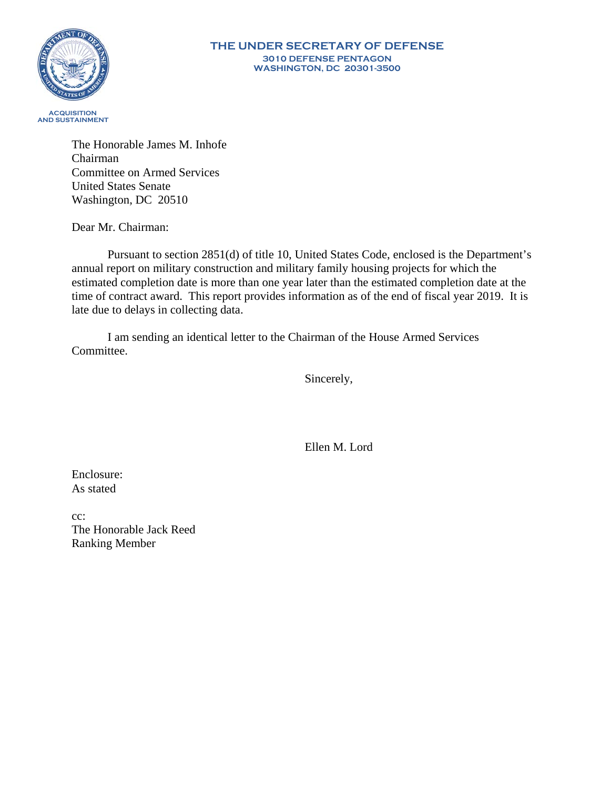

The Honorable James M. Inhofe Chairman Committee on Armed Services United States Senate Washington, DC 20510

Dear Mr. Chairman:

Pursuant to section 2851(d) of title 10, United States Code, enclosed is the Department's annual report on military construction and military family housing projects for which the estimated completion date is more than one year later than the estimated completion date at the time of contract award. This report provides information as of the end of fiscal year 2019. It is late due to delays in collecting data.

I am sending an identical letter to the Chairman of the House Armed Services Committee.

Sincerely,

Ellen M. Lord

Enclosure: As stated

cc: The Honorable Jack Reed Ranking Member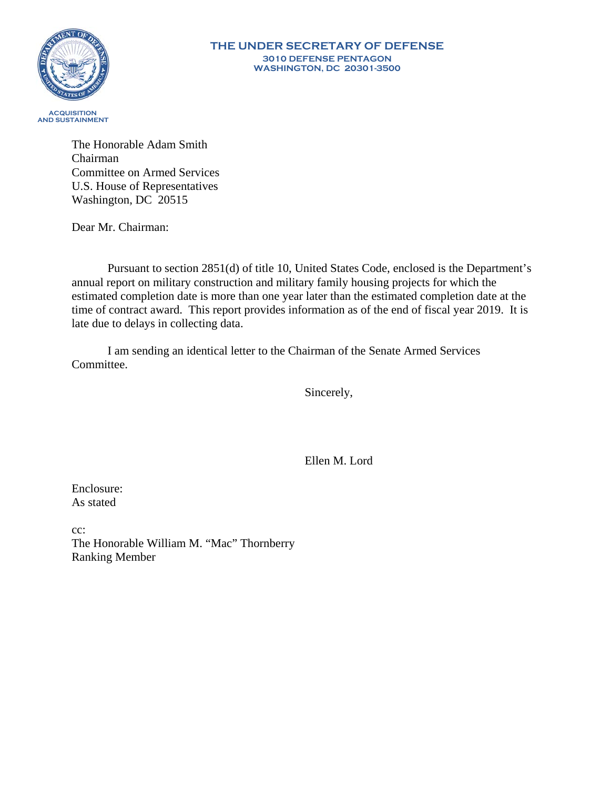

The Honorable Adam Smith Chairman Committee on Armed Services U.S. House of Representatives Washington, DC 20515

Dear Mr. Chairman:

Pursuant to section 2851(d) of title 10, United States Code, enclosed is the Department's annual report on military construction and military family housing projects for which the estimated completion date is more than one year later than the estimated completion date at the time of contract award. This report provides information as of the end of fiscal year 2019. It is late due to delays in collecting data.

I am sending an identical letter to the Chairman of the Senate Armed Services Committee.

Sincerely,

Ellen M. Lord

Enclosure: As stated

cc: The Honorable William M. "Mac" Thornberry Ranking Member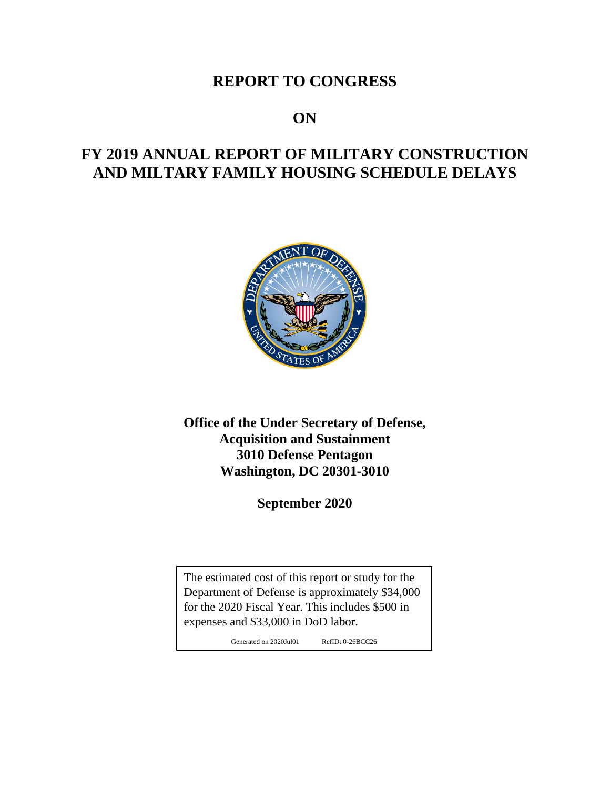## **REPORT TO CONGRESS**

## **ON**

# **FY 2019 ANNUAL REPORT OF MILITARY CONSTRUCTION AND MILTARY FAMILY HOUSING SCHEDULE DELAYS**



**Office of the Under Secretary of Defense, Acquisition and Sustainment 3010 Defense Pentagon Washington, DC 20301-3010**

**September 2020**

The estimated cost of this report or study for the Department of Defense is approximately \$34,000 for the 2020 Fiscal Year. This includes \$500 in expenses and \$33,000 in DoD labor.

Generated on 2020Jul01 RefID: 0-26BCC26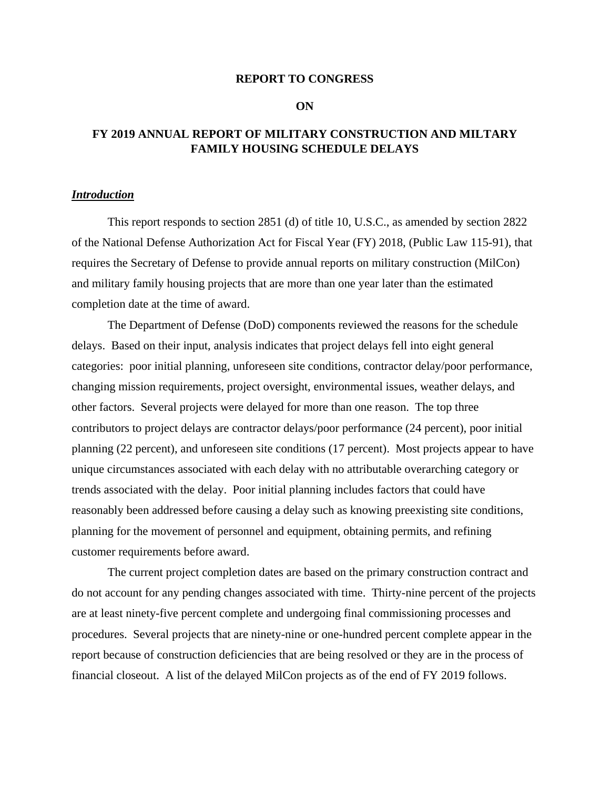#### **REPORT TO CONGRESS**

#### **ON**

### **FY 2019 ANNUAL REPORT OF MILITARY CONSTRUCTION AND MILTARY FAMILY HOUSING SCHEDULE DELAYS**

#### *Introduction*

This report responds to section 2851 (d) of title 10, U.S.C., as amended by section 2822 of the National Defense Authorization Act for Fiscal Year (FY) 2018, (Public Law 115-91), that requires the Secretary of Defense to provide annual reports on military construction (MilCon) and military family housing projects that are more than one year later than the estimated completion date at the time of award.

The Department of Defense (DoD) components reviewed the reasons for the schedule delays. Based on their input, analysis indicates that project delays fell into eight general categories: poor initial planning, unforeseen site conditions, contractor delay/poor performance, changing mission requirements, project oversight, environmental issues, weather delays, and other factors. Several projects were delayed for more than one reason. The top three contributors to project delays are contractor delays/poor performance (24 percent), poor initial planning (22 percent), and unforeseen site conditions (17 percent). Most projects appear to have unique circumstances associated with each delay with no attributable overarching category or trends associated with the delay. Poor initial planning includes factors that could have reasonably been addressed before causing a delay such as knowing preexisting site conditions, planning for the movement of personnel and equipment, obtaining permits, and refining customer requirements before award.

The current project completion dates are based on the primary construction contract and do not account for any pending changes associated with time. Thirty-nine percent of the projects are at least ninety-five percent complete and undergoing final commissioning processes and procedures. Several projects that are ninety-nine or one-hundred percent complete appear in the report because of construction deficiencies that are being resolved or they are in the process of financial closeout. A list of the delayed MilCon projects as of the end of FY 2019 follows.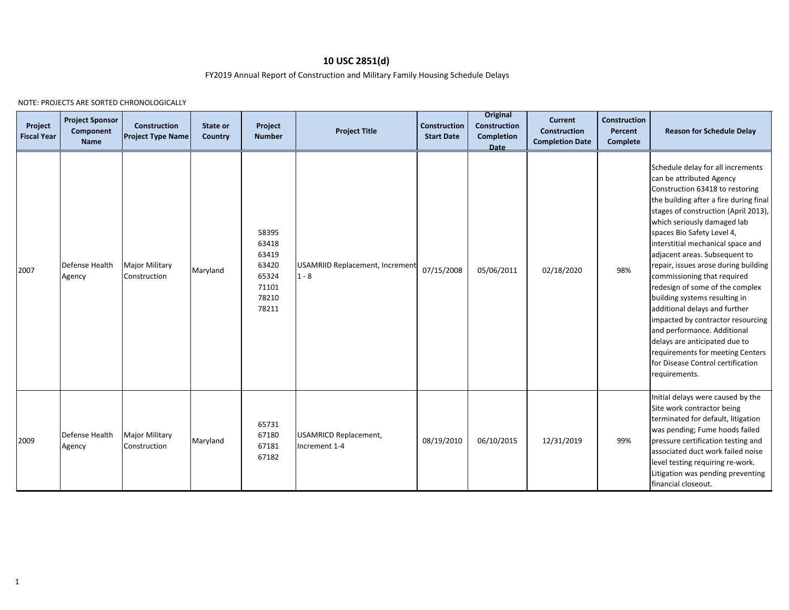#### **10 USC 2851(d)**

FY2019 Annual Report of Construction and Military Family Housing Schedule Delays

NOTE: PROJECTS ARE SORTED CHRONOLOGICALLY

| Project<br><b>Fiscal Year</b> | <b>Project Sponsor</b><br>Component<br>Name | Construction<br><b>Project Type Name</b> | State or<br>Country | Project<br><b>Number</b>                                             | <b>Project Title</b>                              | <b>Construction</b><br><b>Start Date</b> | <b>Original</b><br><b>Construction</b><br>Completion<br><b>Date</b> | <b>Current</b><br><b>Construction</b><br><b>Completion Date</b> | <b>Construction</b><br>Percent<br><b>Complete</b> | <b>Reason for Schedule Delay</b>                                                                                                                                                                                                                                                                                                                                                                                                                                                                                                                                                                                                                                                                 |
|-------------------------------|---------------------------------------------|------------------------------------------|---------------------|----------------------------------------------------------------------|---------------------------------------------------|------------------------------------------|---------------------------------------------------------------------|-----------------------------------------------------------------|---------------------------------------------------|--------------------------------------------------------------------------------------------------------------------------------------------------------------------------------------------------------------------------------------------------------------------------------------------------------------------------------------------------------------------------------------------------------------------------------------------------------------------------------------------------------------------------------------------------------------------------------------------------------------------------------------------------------------------------------------------------|
| 2007                          | Defense Health<br>Agency                    | <b>Major Military</b><br>Construction    | Maryland            | 58395<br>63418<br>63419<br>63420<br>65324<br>71101<br>78210<br>78211 | <b>USAMRIID Replacement, Increment</b><br>$1 - 8$ | 07/15/2008                               | 05/06/2011                                                          | 02/18/2020                                                      | 98%                                               | Schedule delay for all increments<br>can be attributed Agency<br>Construction 63418 to restoring<br>the building after a fire during final<br>stages of construction (April 2013),<br>which seriously damaged lab<br>spaces Bio Safety Level 4,<br>interstitial mechanical space and<br>adjacent areas. Subsequent to<br>repair, issues arose during building<br>commissioning that required<br>redesign of some of the complex<br>building systems resulting in<br>additional delays and further<br>impacted by contractor resourcing<br>and performance. Additional<br>delays are anticipated due to<br>requirements for meeting Centers<br>for Disease Control certification<br>requirements. |
| 2009                          | Defense Health<br>Agency                    | <b>Major Military</b><br>Construction    | Maryland            | 65731<br>67180<br>67181<br>67182                                     | <b>USAMRICD Replacement,</b><br>Increment 1-4     | 08/19/2010                               | 06/10/2015                                                          | 12/31/2019                                                      | 99%                                               | Initial delays were caused by the<br>Site work contractor being<br>terminated for default, litigation<br>was pending; Fume hoods failed<br>pressure certification testing and<br>associated duct work failed noise<br>level testing requiring re-work.<br>Litigation was pending preventing<br>financial closeout.                                                                                                                                                                                                                                                                                                                                                                               |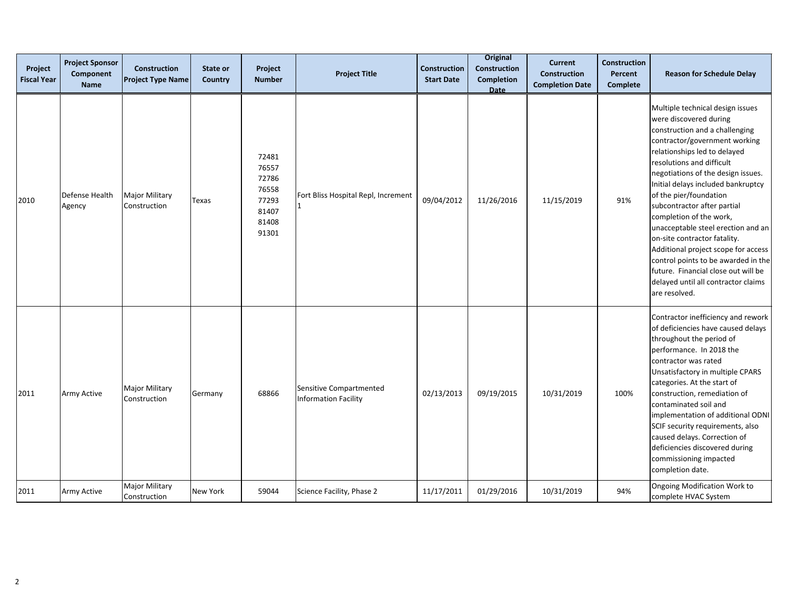| Project<br><b>Fiscal Year</b> | <b>Project Sponsor</b><br>Component<br><b>Name</b> | Construction<br><b>Project Type Name</b> | State or<br>Country | Project<br><b>Number</b>                                             | <b>Project Title</b>                                   | <b>Construction</b><br><b>Start Date</b> | <b>Original</b><br>Construction<br><b>Completion</b><br>Date | <b>Current</b><br><b>Construction</b><br><b>Completion Date</b> | <b>Construction</b><br>Percent<br><b>Complete</b> | <b>Reason for Schedule Delay</b>                                                                                                                                                                                                                                                                                                                                                                                                                                                                                                                                                                              |
|-------------------------------|----------------------------------------------------|------------------------------------------|---------------------|----------------------------------------------------------------------|--------------------------------------------------------|------------------------------------------|--------------------------------------------------------------|-----------------------------------------------------------------|---------------------------------------------------|---------------------------------------------------------------------------------------------------------------------------------------------------------------------------------------------------------------------------------------------------------------------------------------------------------------------------------------------------------------------------------------------------------------------------------------------------------------------------------------------------------------------------------------------------------------------------------------------------------------|
| 2010                          | Defense Health<br>Agency                           | Major Military<br>Construction           | Texas               | 72481<br>76557<br>72786<br>76558<br>77293<br>81407<br>81408<br>91301 | Fort Bliss Hospital Repl, Increment                    | 09/04/2012                               | 11/26/2016                                                   | 11/15/2019                                                      | 91%                                               | Multiple technical design issues<br>were discovered during<br>construction and a challenging<br>contractor/government working<br>relationships led to delayed<br>resolutions and difficult<br>negotiations of the design issues.<br>Initial delays included bankruptcy<br>of the pier/foundation<br>subcontractor after partial<br>completion of the work,<br>unacceptable steel erection and an<br>on-site contractor fatality.<br>Additional project scope for access<br>control points to be awarded in the<br>future. Financial close out will be<br>delayed until all contractor claims<br>are resolved. |
| 2011                          | Army Active                                        | <b>Major Military</b><br>Construction    | Germany             | 68866                                                                | Sensitive Compartmented<br><b>Information Facility</b> | 02/13/2013                               | 09/19/2015                                                   | 10/31/2019                                                      | 100%                                              | Contractor inefficiency and rework<br>of deficiencies have caused delays<br>throughout the period of<br>performance. In 2018 the<br>contractor was rated<br>Unsatisfactory in multiple CPARS<br>categories. At the start of<br>construction, remediation of<br>contaminated soil and<br>implementation of additional ODNI<br>SCIF security requirements, also<br>caused delays. Correction of<br>deficiencies discovered during<br>commissioning impacted<br>completion date.                                                                                                                                 |
| 2011                          | Army Active                                        | Major Military<br>Construction           | New York            | 59044                                                                | Science Facility, Phase 2                              | 11/17/2011                               | 01/29/2016                                                   | 10/31/2019                                                      | 94%                                               | Ongoing Modification Work to<br>complete HVAC System                                                                                                                                                                                                                                                                                                                                                                                                                                                                                                                                                          |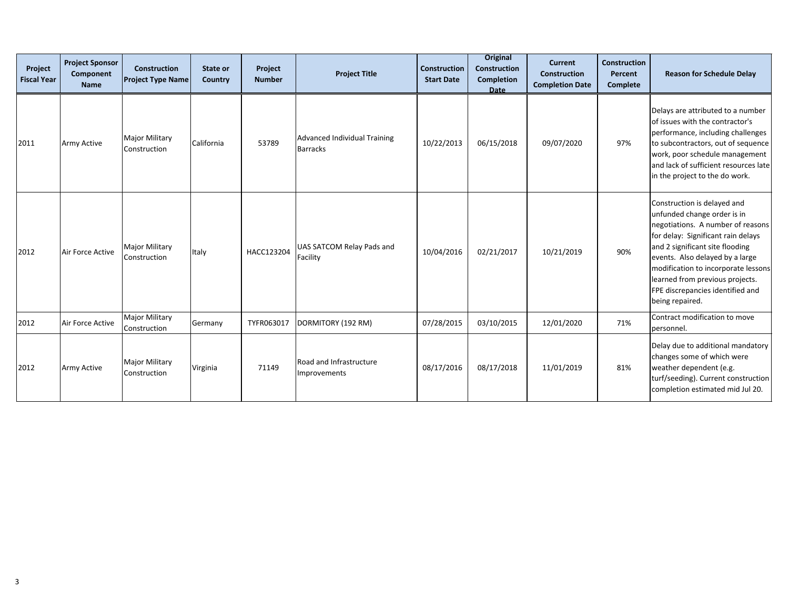| Project<br><b>Fiscal Year</b> | <b>Project Sponsor</b><br>Component<br><b>Name</b> | <b>Construction</b><br><b>Project Type Name</b> | State or<br>Country | Project<br><b>Number</b> | <b>Project Title</b>                            | <b>Construction</b><br><b>Start Date</b> | <b>Original</b><br><b>Construction</b><br><b>Completion</b><br><b>Date</b> | <b>Current</b><br><b>Construction</b><br><b>Completion Date</b> | <b>Construction</b><br>Percent<br><b>Complete</b> | <b>Reason for Schedule Delay</b>                                                                                                                                                                                                                                                                                                             |
|-------------------------------|----------------------------------------------------|-------------------------------------------------|---------------------|--------------------------|-------------------------------------------------|------------------------------------------|----------------------------------------------------------------------------|-----------------------------------------------------------------|---------------------------------------------------|----------------------------------------------------------------------------------------------------------------------------------------------------------------------------------------------------------------------------------------------------------------------------------------------------------------------------------------------|
| 2011                          | <b>Army Active</b>                                 | <b>Major Military</b><br>Construction           | California          | 53789                    | Advanced Individual Training<br><b>Barracks</b> | 10/22/2013                               | 06/15/2018                                                                 | 09/07/2020                                                      | 97%                                               | Delays are attributed to a number<br>of issues with the contractor's<br>performance, including challenges<br>to subcontractors, out of sequence<br>work, poor schedule management<br>and lack of sufficient resources late<br>in the project to the do work.                                                                                 |
| 2012                          | Air Force Active                                   | <b>Major Military</b><br>Construction           | Italy               | HACC123204               | UAS SATCOM Relay Pads and<br>Facility           | 10/04/2016                               | 02/21/2017                                                                 | 10/21/2019                                                      | 90%                                               | Construction is delayed and<br>unfunded change order is in<br>negotiations. A number of reasons<br>for delay: Significant rain delays<br>and 2 significant site flooding<br>events. Also delayed by a large<br>modification to incorporate lessons<br>learned from previous projects.<br>FPE discrepancies identified and<br>being repaired. |
| 2012                          | Air Force Active                                   | <b>Major Military</b><br>Construction           | Germany             | TYFR063017               | DORMITORY (192 RM)                              | 07/28/2015                               | 03/10/2015                                                                 | 12/01/2020                                                      | 71%                                               | Contract modification to move<br>personnel.                                                                                                                                                                                                                                                                                                  |
| 2012                          | <b>Army Active</b>                                 | <b>Major Military</b><br>Construction           | Virginia            | 71149                    | Road and Infrastructure<br>Improvements         | 08/17/2016                               | 08/17/2018                                                                 | 11/01/2019                                                      | 81%                                               | Delay due to additional mandatory<br>changes some of which were<br>weather dependent (e.g.<br>turf/seeding). Current construction<br>completion estimated mid Jul 20.                                                                                                                                                                        |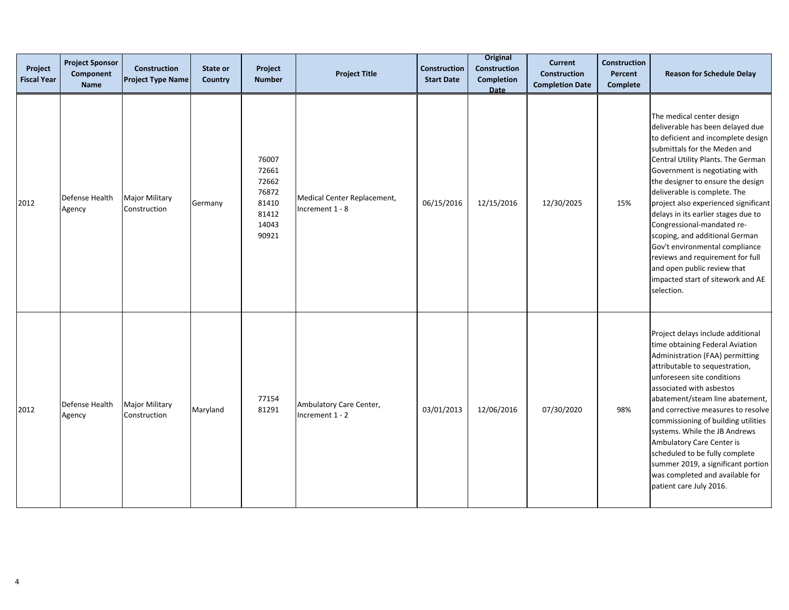| Project<br><b>Fiscal Year</b> | <b>Project Sponsor</b><br>Component<br><b>Name</b> | <b>Construction</b><br><b>Project Type Name</b> | State or<br>Country | Project<br><b>Number</b>                                             | <b>Project Title</b>                           | <b>Construction</b><br><b>Start Date</b> | <b>Original</b><br>Construction<br>Completion<br><b>Date</b> | <b>Current</b><br>Construction<br><b>Completion Date</b> | Construction<br>Percent<br><b>Complete</b> | <b>Reason for Schedule Delay</b>                                                                                                                                                                                                                                                                                                                                                                                                                                                                                                                                                        |
|-------------------------------|----------------------------------------------------|-------------------------------------------------|---------------------|----------------------------------------------------------------------|------------------------------------------------|------------------------------------------|--------------------------------------------------------------|----------------------------------------------------------|--------------------------------------------|-----------------------------------------------------------------------------------------------------------------------------------------------------------------------------------------------------------------------------------------------------------------------------------------------------------------------------------------------------------------------------------------------------------------------------------------------------------------------------------------------------------------------------------------------------------------------------------------|
| 2012                          | Defense Health<br>Agency                           | <b>Major Military</b><br>Construction           | Germany             | 76007<br>72661<br>72662<br>76872<br>81410<br>81412<br>14043<br>90921 | Medical Center Replacement,<br>Increment 1 - 8 | 06/15/2016                               | 12/15/2016                                                   | 12/30/2025                                               | 15%                                        | The medical center design<br>deliverable has been delayed due<br>to deficient and incomplete design<br>submittals for the Meden and<br>Central Utility Plants. The German<br>Government is negotiating with<br>the designer to ensure the design<br>deliverable is complete. The<br>project also experienced significant<br>delays in its earlier stages due to<br>Congressional-mandated re-<br>scoping, and additional German<br>Gov't environmental compliance<br>reviews and requirement for full<br>and open public review that<br>impacted start of sitework and AE<br>selection. |
| 2012                          | Defense Health<br>Agency                           | <b>Major Military</b><br>Construction           | Maryland            | 77154<br>81291                                                       | Ambulatory Care Center,<br>Increment 1 - 2     | 03/01/2013                               | 12/06/2016                                                   | 07/30/2020                                               | 98%                                        | Project delays include additional<br>time obtaining Federal Aviation<br>Administration (FAA) permitting<br>attributable to sequestration,<br>unforeseen site conditions<br>associated with asbestos<br>abatement/steam line abatement,<br>and corrective measures to resolve<br>commissioning of building utilities<br>systems. While the JB Andrews<br>Ambulatory Care Center is<br>scheduled to be fully complete<br>summer 2019, a significant portion<br>was completed and available for<br>patient care July 2016.                                                                 |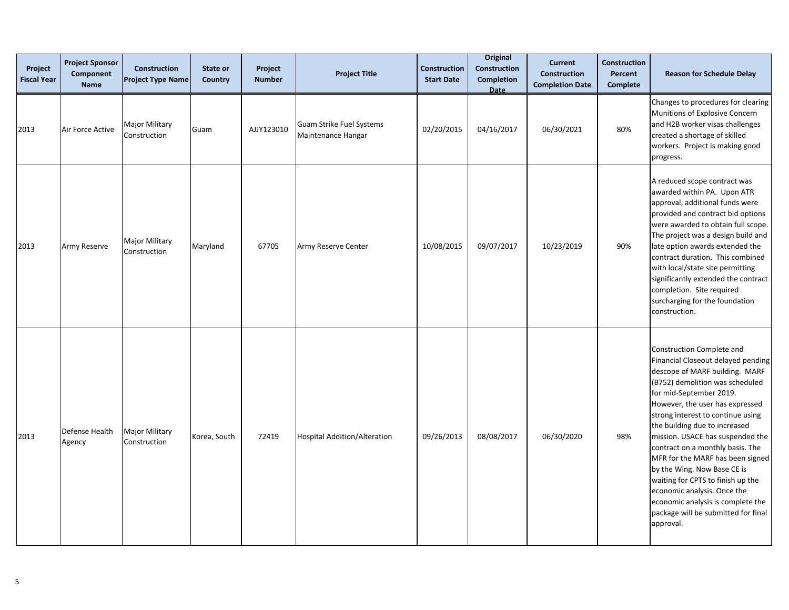| Project<br><b>Fiscal Year</b> | <b>Project Sponsor</b><br>Component<br><b>Name</b> | <b>Construction</b><br><b>Project Type Name</b> | State or<br>Country | Project<br><b>Number</b> | <b>Project Title</b>                           | <b>Construction</b><br><b>Start Date</b> | <b>Original</b><br><b>Construction</b><br><b>Completion</b><br><b>Date</b> | <b>Current</b><br><b>Construction</b><br><b>Completion Date</b> | <b>Construction</b><br>Percent<br>Complete | <b>Reason for Schedule Delay</b>                                                                                                                                                                                                                                                                                                                                                                                                                                                                                                                                                 |
|-------------------------------|----------------------------------------------------|-------------------------------------------------|---------------------|--------------------------|------------------------------------------------|------------------------------------------|----------------------------------------------------------------------------|-----------------------------------------------------------------|--------------------------------------------|----------------------------------------------------------------------------------------------------------------------------------------------------------------------------------------------------------------------------------------------------------------------------------------------------------------------------------------------------------------------------------------------------------------------------------------------------------------------------------------------------------------------------------------------------------------------------------|
| 2013                          | Air Force Active                                   | <b>Major Military</b><br>Construction           | Guam                | AJJY123010               | Guam Strike Fuel Systems<br>Maintenance Hangar | 02/20/2015                               | 04/16/2017                                                                 | 06/30/2021                                                      | 80%                                        | Changes to procedures for clearing<br>Munitions of Explosive Concern<br>and H2B worker visas challenges<br>created a shortage of skilled<br>workers. Project is making good<br>progress.                                                                                                                                                                                                                                                                                                                                                                                         |
| 2013                          | Army Reserve                                       | <b>Major Military</b><br>Construction           | Maryland            | 67705                    | Army Reserve Center                            | 10/08/2015                               | 09/07/2017                                                                 | 10/23/2019                                                      | 90%                                        | A reduced scope contract was<br>awarded within PA. Upon ATR<br>approval, additional funds were<br>provided and contract bid options<br>were awarded to obtain full scope.<br>The project was a design build and<br>late option awards extended the<br>contract duration. This combined<br>with local/state site permitting<br>significantly extended the contract<br>completion. Site required<br>surcharging for the foundation<br>construction.                                                                                                                                |
| 2013                          | Defense Health<br>Agency                           | <b>Major Military</b><br>Construction           | Korea, South        | 72419                    | <b>Hospital Addition/Alteration</b>            | 09/26/2013                               | 08/08/2017                                                                 | 06/30/2020                                                      | 98%                                        | Construction Complete and<br>Financial Closeout delayed pending<br>descope of MARF building. MARF<br>(B752) demolition was scheduled<br>for mid-September 2019.<br>However, the user has expressed<br>strong interest to continue using<br>the building due to increased<br>mission. USACE has suspended the<br>contract on a monthly basis. The<br>MFR for the MARF has been signed<br>by the Wing. Now Base CE is<br>waiting for CPTS to finish up the<br>economic analysis. Once the<br>economic analysis is complete the<br>package will be submitted for final<br>approval. |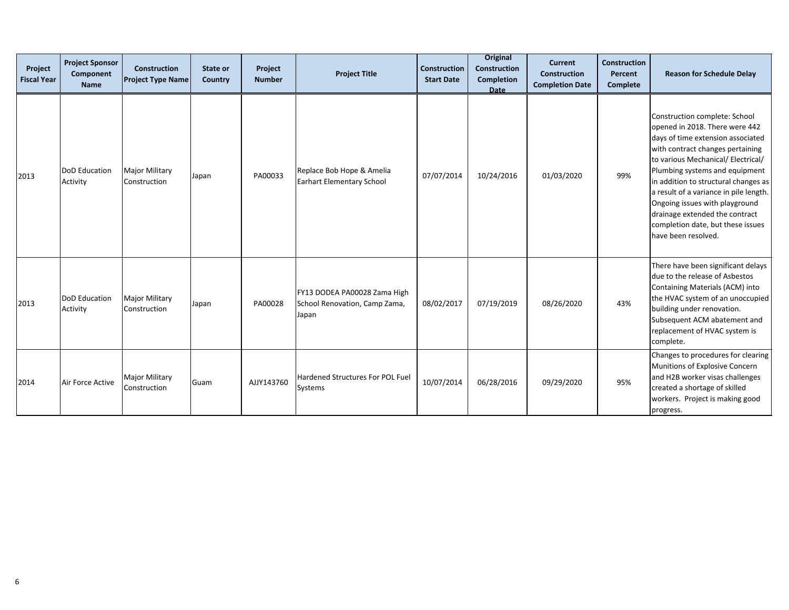| Project<br><b>Fiscal Year</b> | <b>Project Sponsor</b><br>Component<br><b>Name</b> | <b>Construction</b><br><b>Project Type Name</b> | State or<br>Country | Project<br><b>Number</b> | <b>Project Title</b>                                                   | <b>Construction</b><br><b>Start Date</b> | <b>Original</b><br><b>Construction</b><br>Completion<br>Date | <b>Current</b><br><b>Construction</b><br><b>Completion Date</b> | <b>Construction</b><br>Percent<br><b>Complete</b> | <b>Reason for Schedule Delay</b>                                                                                                                                                                                                                                                                                                                                                                                                   |
|-------------------------------|----------------------------------------------------|-------------------------------------------------|---------------------|--------------------------|------------------------------------------------------------------------|------------------------------------------|--------------------------------------------------------------|-----------------------------------------------------------------|---------------------------------------------------|------------------------------------------------------------------------------------------------------------------------------------------------------------------------------------------------------------------------------------------------------------------------------------------------------------------------------------------------------------------------------------------------------------------------------------|
| 2013                          | <b>DoD</b> Education<br>Activity                   | <b>Major Military</b><br>Construction           | Japan               | PA00033                  | Replace Bob Hope & Amelia<br>Earhart Elementary School                 | 07/07/2014                               | 10/24/2016                                                   | 01/03/2020                                                      | 99%                                               | Construction complete: School<br>opened in 2018. There were 442<br>days of time extension associated<br>with contract changes pertaining<br>to various Mechanical/ Electrical/<br>Plumbing systems and equipment<br>in addition to structural changes as<br>a result of a variance in pile length.<br>Ongoing issues with playground<br>drainage extended the contract<br>completion date, but these issues<br>have been resolved. |
| 2013                          | <b>DoD</b> Education<br>Activity                   | <b>Major Military</b><br>Construction           | Japan               | PA00028                  | FY13 DODEA PA00028 Zama High<br>School Renovation, Camp Zama,<br>Japan | 08/02/2017                               | 07/19/2019                                                   | 08/26/2020                                                      | 43%                                               | There have been significant delays<br>due to the release of Asbestos<br>Containing Materials (ACM) into<br>the HVAC system of an unoccupied<br>building under renovation.<br>Subsequent ACM abatement and<br>replacement of HVAC system is<br>complete.                                                                                                                                                                            |
| 2014                          | Air Force Active                                   | <b>Major Military</b><br>Construction           | Guam                | AJJY143760               | Hardened Structures For POL Fuel<br>Systems                            | 10/07/2014                               | 06/28/2016                                                   | 09/29/2020                                                      | 95%                                               | Changes to procedures for clearing<br>Munitions of Explosive Concern<br>and H2B worker visas challenges<br>created a shortage of skilled<br>workers. Project is making good<br>progress.                                                                                                                                                                                                                                           |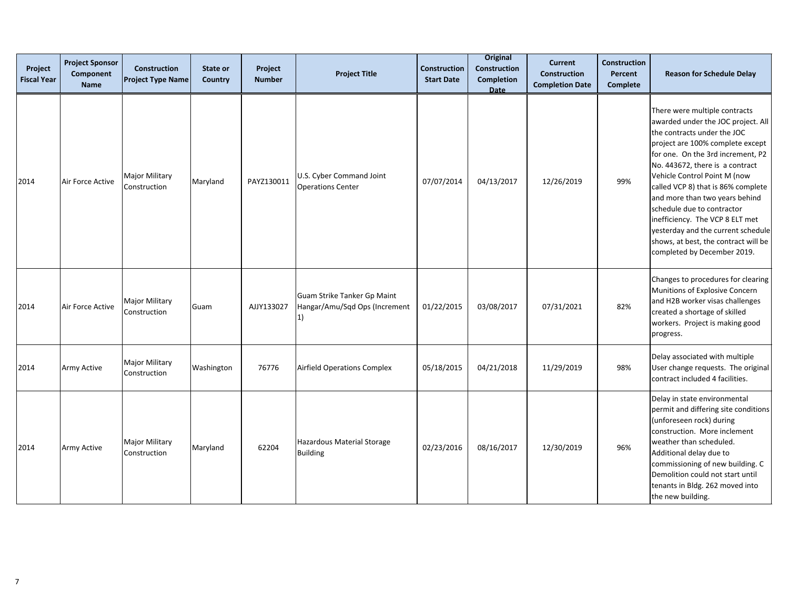| Project<br><b>Fiscal Year</b> | <b>Project Sponsor</b><br>Component<br><b>Name</b> | <b>Construction</b><br><b>Project Type Name</b> | State or<br>Country | Project<br><b>Number</b> | <b>Project Title</b>                                               | Construction<br><b>Start Date</b> | <b>Original</b><br><b>Construction</b><br>Completion<br><b>Date</b> | <b>Current</b><br><b>Construction</b><br><b>Completion Date</b> | <b>Construction</b><br>Percent<br><b>Complete</b> | <b>Reason for Schedule Delay</b>                                                                                                                                                                                                                                                                                                                                                                                                                                                                     |
|-------------------------------|----------------------------------------------------|-------------------------------------------------|---------------------|--------------------------|--------------------------------------------------------------------|-----------------------------------|---------------------------------------------------------------------|-----------------------------------------------------------------|---------------------------------------------------|------------------------------------------------------------------------------------------------------------------------------------------------------------------------------------------------------------------------------------------------------------------------------------------------------------------------------------------------------------------------------------------------------------------------------------------------------------------------------------------------------|
| 2014                          | Air Force Active                                   | <b>Major Military</b><br>Construction           | Maryland            | PAYZ130011               | U.S. Cyber Command Joint<br><b>Operations Center</b>               | 07/07/2014                        | 04/13/2017                                                          | 12/26/2019                                                      | 99%                                               | There were multiple contracts<br>awarded under the JOC project. All<br>the contracts under the JOC<br>project are 100% complete except<br>for one. On the 3rd increment, P2<br>No. 443672, there is a contract<br>Vehicle Control Point M (now<br>called VCP 8) that is 86% complete<br>and more than two years behind<br>schedule due to contractor<br>inefficiency. The VCP 8 ELT met<br>yesterday and the current schedule<br>shows, at best, the contract will be<br>completed by December 2019. |
| 2014                          | Air Force Active                                   | <b>Major Military</b><br>Construction           | Guam                | AJJY133027               | Guam Strike Tanker Gp Maint<br>Hangar/Amu/Sqd Ops (Increment<br>1) | 01/22/2015                        | 03/08/2017                                                          | 07/31/2021                                                      | 82%                                               | Changes to procedures for clearing<br>Munitions of Explosive Concern<br>and H2B worker visas challenges<br>created a shortage of skilled<br>workers. Project is making good<br>progress.                                                                                                                                                                                                                                                                                                             |
| 2014                          | Army Active                                        | <b>Major Military</b><br>Construction           | Washington          | 76776                    | <b>Airfield Operations Complex</b>                                 | 05/18/2015                        | 04/21/2018                                                          | 11/29/2019                                                      | 98%                                               | Delay associated with multiple<br>User change requests. The original<br>contract included 4 facilities.                                                                                                                                                                                                                                                                                                                                                                                              |
| 2014                          | Army Active                                        | <b>Major Military</b><br>Construction           | Maryland            | 62204                    | Hazardous Material Storage<br><b>Building</b>                      | 02/23/2016                        | 08/16/2017                                                          | 12/30/2019                                                      | 96%                                               | Delay in state environmental<br>permit and differing site conditions<br>(unforeseen rock) during<br>construction. More inclement<br>weather than scheduled.<br>Additional delay due to<br>commissioning of new building. C<br>Demolition could not start until<br>tenants in Bldg. 262 moved into<br>the new building.                                                                                                                                                                               |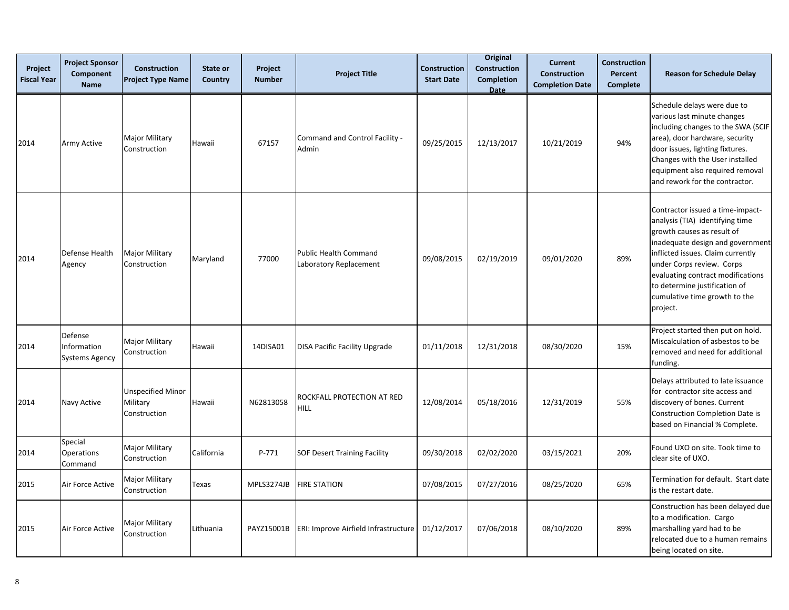| Project<br><b>Fiscal Year</b> | <b>Project Sponsor</b><br>Component<br><b>Name</b> | <b>Construction</b><br><b>Project Type Name</b>      | State or<br>Country | Project<br><b>Number</b> | <b>Project Title</b>                            | <b>Construction</b><br><b>Start Date</b> | <b>Original</b><br><b>Construction</b><br><b>Completion</b><br><b>Date</b> | <b>Current</b><br><b>Construction</b><br><b>Completion Date</b> | <b>Construction</b><br>Percent<br>Complete | <b>Reason for Schedule Delay</b>                                                                                                                                                                                                                                                                                           |
|-------------------------------|----------------------------------------------------|------------------------------------------------------|---------------------|--------------------------|-------------------------------------------------|------------------------------------------|----------------------------------------------------------------------------|-----------------------------------------------------------------|--------------------------------------------|----------------------------------------------------------------------------------------------------------------------------------------------------------------------------------------------------------------------------------------------------------------------------------------------------------------------------|
| 2014                          | Army Active                                        | <b>Major Military</b><br>Construction                | Hawaii              | 67157                    | Command and Control Facility -<br>Admin         | 09/25/2015                               | 12/13/2017                                                                 | 10/21/2019                                                      | 94%                                        | Schedule delays were due to<br>various last minute changes<br>including changes to the SWA (SCIF<br>area), door hardware, security<br>door issues, lighting fixtures.<br>Changes with the User installed<br>equipment also required removal<br>and rework for the contractor.                                              |
| 2014                          | Defense Health<br>Agency                           | <b>Major Military</b><br>Construction                | Maryland            | 77000                    | Public Health Command<br>Laboratory Replacement | 09/08/2015                               | 02/19/2019                                                                 | 09/01/2020                                                      | 89%                                        | Contractor issued a time-impact-<br>analysis (TIA) identifying time<br>growth causes as result of<br>inadequate design and government<br>inflicted issues. Claim currently<br>under Corps review. Corps<br>evaluating contract modifications<br>to determine justification of<br>cumulative time growth to the<br>project. |
| 2014                          | Defense<br>Information<br>Systems Agency           | Major Military<br>Construction                       | Hawaii              | 14DISA01                 | <b>DISA Pacific Facility Upgrade</b>            | 01/11/2018                               | 12/31/2018                                                                 | 08/30/2020                                                      | 15%                                        | Project started then put on hold.<br>Miscalculation of asbestos to be<br>removed and need for additional<br>funding.                                                                                                                                                                                                       |
| 2014                          | Navy Active                                        | <b>Unspecified Minor</b><br>Military<br>Construction | Hawaii              | N62813058                | ROCKFALL PROTECTION AT RED<br>HILL              | 12/08/2014                               | 05/18/2016                                                                 | 12/31/2019                                                      | 55%                                        | Delays attributed to late issuance<br>for contractor site access and<br>discovery of bones. Current<br>Construction Completion Date is<br>based on Financial % Complete.                                                                                                                                                   |
| 2014                          | Special<br><b>Operations</b><br>Command            | <b>Major Military</b><br>Construction                | California          | P-771                    | SOF Desert Training Facility                    | 09/30/2018                               | 02/02/2020                                                                 | 03/15/2021                                                      | 20%                                        | Found UXO on site. Took time to<br>clear site of UXO.                                                                                                                                                                                                                                                                      |
| 2015                          | Air Force Active                                   | Major Military<br>Construction                       | Texas               | MPLS3274JB               | <b>FIRE STATION</b>                             | 07/08/2015                               | 07/27/2016                                                                 | 08/25/2020                                                      | 65%                                        | Termination for default. Start date<br>is the restart date.                                                                                                                                                                                                                                                                |
| 2015                          | Air Force Active                                   | Major Military<br>Construction                       | Lithuania           | PAYZ15001B               | ERI: Improve Airfield Infrastructure            | 01/12/2017                               | 07/06/2018                                                                 | 08/10/2020                                                      | 89%                                        | Construction has been delayed due<br>to a modification. Cargo<br>marshalling yard had to be<br>relocated due to a human remains<br>being located on site.                                                                                                                                                                  |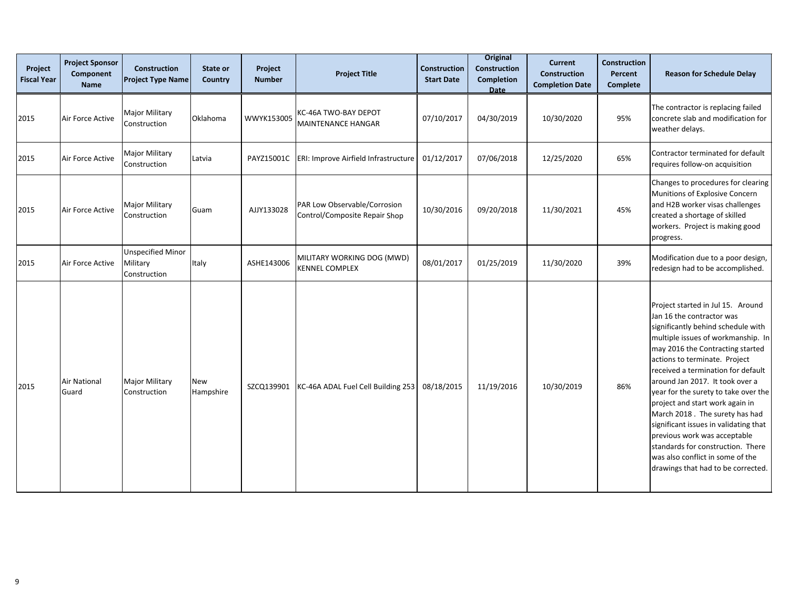| Project<br><b>Fiscal Year</b> | <b>Project Sponsor</b><br>Component<br><b>Name</b> | <b>Construction</b><br><b>Project Type Name</b>      | State or<br>Country | Project<br><b>Number</b> | <b>Project Title</b>                                          | <b>Construction</b><br><b>Start Date</b> | <b>Original</b><br><b>Construction</b><br>Completion<br>Date | <b>Current</b><br><b>Construction</b><br><b>Completion Date</b> | <b>Construction</b><br>Percent<br><b>Complete</b> | <b>Reason for Schedule Delay</b>                                                                                                                                                                                                                                                                                                                                                                                                                                                                                                                                                              |
|-------------------------------|----------------------------------------------------|------------------------------------------------------|---------------------|--------------------------|---------------------------------------------------------------|------------------------------------------|--------------------------------------------------------------|-----------------------------------------------------------------|---------------------------------------------------|-----------------------------------------------------------------------------------------------------------------------------------------------------------------------------------------------------------------------------------------------------------------------------------------------------------------------------------------------------------------------------------------------------------------------------------------------------------------------------------------------------------------------------------------------------------------------------------------------|
| 2015                          | Air Force Active                                   | <b>Major Military</b><br>Construction                | Oklahoma            | WWYK153005               | KC-46A TWO-BAY DEPOT<br>MAINTENANCE HANGAR                    | 07/10/2017                               | 04/30/2019                                                   | 10/30/2020                                                      | 95%                                               | The contractor is replacing failed<br>concrete slab and modification for<br>weather delays.                                                                                                                                                                                                                                                                                                                                                                                                                                                                                                   |
| 2015                          | Air Force Active                                   | <b>Major Military</b><br>Construction                | Latvia              | PAYZ15001C               | ERI: Improve Airfield Infrastructure                          | 01/12/2017                               | 07/06/2018                                                   | 12/25/2020                                                      | 65%                                               | Contractor terminated for default<br>requires follow-on acquisition                                                                                                                                                                                                                                                                                                                                                                                                                                                                                                                           |
| 2015                          | Air Force Active                                   | <b>Major Military</b><br>Construction                | Guam                | AJJY133028               | PAR Low Observable/Corrosion<br>Control/Composite Repair Shop | 10/30/2016                               | 09/20/2018                                                   | 11/30/2021                                                      | 45%                                               | Changes to procedures for clearing<br>Munitions of Explosive Concern<br>and H2B worker visas challenges<br>created a shortage of skilled<br>workers. Project is making good<br>progress.                                                                                                                                                                                                                                                                                                                                                                                                      |
| 2015                          | Air Force Active                                   | <b>Unspecified Minor</b><br>Military<br>Construction | Italy               | ASHE143006               | MILITARY WORKING DOG (MWD)<br><b>KENNEL COMPLEX</b>           | 08/01/2017                               | 01/25/2019                                                   | 11/30/2020                                                      | 39%                                               | Modification due to a poor design,<br>redesign had to be accomplished.                                                                                                                                                                                                                                                                                                                                                                                                                                                                                                                        |
| 2015                          | Air National<br>Guard                              | <b>Major Military</b><br>Construction                | New<br>Hampshire    | SZCQ139901               | KC-46A ADAL Fuel Cell Building 253                            | 08/18/2015                               | 11/19/2016                                                   | 10/30/2019                                                      | 86%                                               | Project started in Jul 15. Around<br>Jan 16 the contractor was<br>significantly behind schedule with<br>multiple issues of workmanship. In<br>may 2016 the Contracting started<br>actions to terminate. Project<br>received a termination for default<br>around Jan 2017. It took over a<br>year for the surety to take over the<br>project and start work again in<br>March 2018. The surety has had<br>significant issues in validating that<br>previous work was acceptable<br>standards for construction. There<br>was also conflict in some of the<br>drawings that had to be corrected. |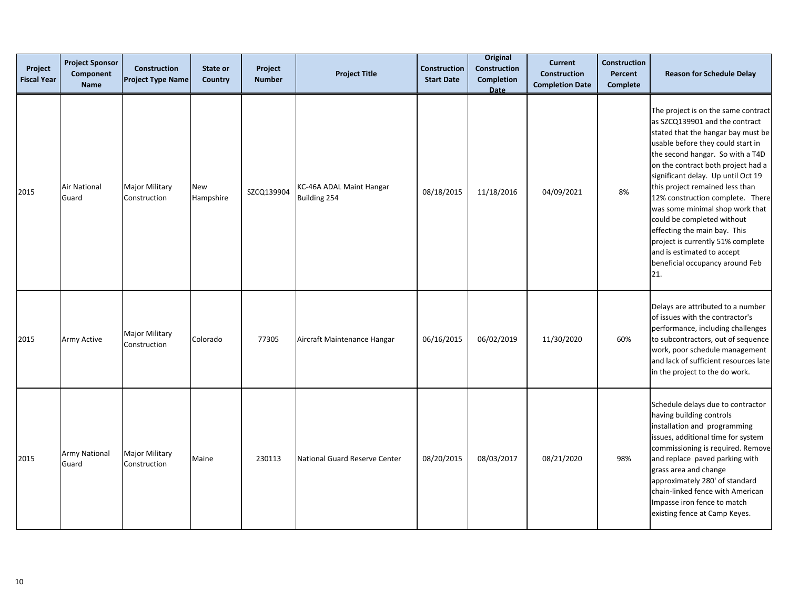| Project<br><b>Fiscal Year</b> | <b>Project Sponsor</b><br>Component<br><b>Name</b> | <b>Construction</b><br><b>Project Type Name</b> | State or<br>Country     | Project<br><b>Number</b> | <b>Project Title</b>                     | <b>Construction</b><br><b>Start Date</b> | <b>Original</b><br>Construction<br><b>Completion</b><br><b>Date</b> | <b>Current</b><br><b>Construction</b><br><b>Completion Date</b> | <b>Construction</b><br>Percent<br><b>Complete</b> | <b>Reason for Schedule Delay</b>                                                                                                                                                                                                                                                                                                                                                                                                                                                                                                                      |
|-------------------------------|----------------------------------------------------|-------------------------------------------------|-------------------------|--------------------------|------------------------------------------|------------------------------------------|---------------------------------------------------------------------|-----------------------------------------------------------------|---------------------------------------------------|-------------------------------------------------------------------------------------------------------------------------------------------------------------------------------------------------------------------------------------------------------------------------------------------------------------------------------------------------------------------------------------------------------------------------------------------------------------------------------------------------------------------------------------------------------|
| 2015                          | <b>Air National</b><br>Guard                       | Major Military<br>Construction                  | <b>New</b><br>Hampshire | SZCQ139904               | KC-46A ADAL Maint Hangar<br>Building 254 | 08/18/2015                               | 11/18/2016                                                          | 04/09/2021                                                      | 8%                                                | The project is on the same contract<br>as SZCQ139901 and the contract<br>stated that the hangar bay must be<br>usable before they could start in<br>the second hangar. So with a T4D<br>on the contract both project had a<br>significant delay. Up until Oct 19<br>this project remained less than<br>12% construction complete. There<br>was some minimal shop work that<br>could be completed without<br>effecting the main bay. This<br>project is currently 51% complete<br>and is estimated to accept<br>beneficial occupancy around Feb<br>21. |
| 2015                          | Army Active                                        | <b>Major Military</b><br>Construction           | Colorado                | 77305                    | Aircraft Maintenance Hangar              | 06/16/2015                               | 06/02/2019                                                          | 11/30/2020                                                      | 60%                                               | Delays are attributed to a number<br>of issues with the contractor's<br>performance, including challenges<br>to subcontractors, out of sequence<br>work, poor schedule management<br>and lack of sufficient resources late<br>in the project to the do work.                                                                                                                                                                                                                                                                                          |
| 2015                          | <b>Army National</b><br>Guard                      | Major Military<br>Construction                  | Maine                   | 230113                   | National Guard Reserve Center            | 08/20/2015                               | 08/03/2017                                                          | 08/21/2020                                                      | 98%                                               | Schedule delays due to contractor<br>having building controls<br>installation and programming<br>issues, additional time for system<br>commissioning is required. Remove<br>and replace paved parking with<br>grass area and change<br>approximately 280' of standard<br>chain-linked fence with American<br>Impasse iron fence to match<br>existing fence at Camp Keyes.                                                                                                                                                                             |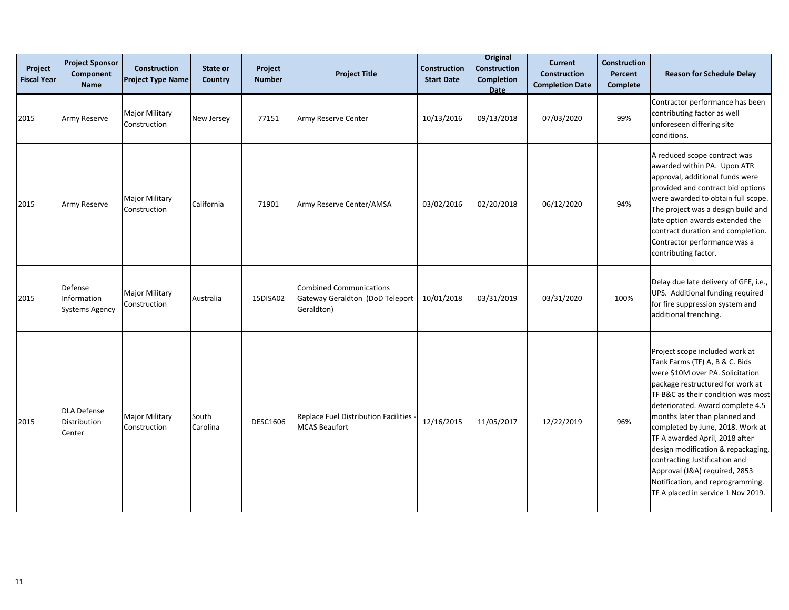| Project<br><b>Fiscal Year</b> | <b>Project Sponsor</b><br>Component<br><b>Name</b> | <b>Construction</b><br><b>Project Type Name</b> | State or<br>Country | Project<br><b>Number</b> | <b>Project Title</b>                                                            | <b>Construction</b><br><b>Start Date</b> | <b>Original</b><br><b>Construction</b><br><b>Completion</b><br><b>Date</b> | <b>Current</b><br><b>Construction</b><br><b>Completion Date</b> | <b>Construction</b><br>Percent<br><b>Complete</b> | <b>Reason for Schedule Delay</b>                                                                                                                                                                                                                                                                                                                                                                                                                                                                            |
|-------------------------------|----------------------------------------------------|-------------------------------------------------|---------------------|--------------------------|---------------------------------------------------------------------------------|------------------------------------------|----------------------------------------------------------------------------|-----------------------------------------------------------------|---------------------------------------------------|-------------------------------------------------------------------------------------------------------------------------------------------------------------------------------------------------------------------------------------------------------------------------------------------------------------------------------------------------------------------------------------------------------------------------------------------------------------------------------------------------------------|
| 2015                          | Army Reserve                                       | <b>Major Military</b><br>Construction           | New Jersey          | 77151                    | Army Reserve Center                                                             | 10/13/2016                               | 09/13/2018                                                                 | 07/03/2020                                                      | 99%                                               | Contractor performance has been<br>contributing factor as well<br>unforeseen differing site<br>conditions.                                                                                                                                                                                                                                                                                                                                                                                                  |
| 2015                          | Army Reserve                                       | <b>Major Military</b><br>Construction           | California          | 71901                    | Army Reserve Center/AMSA                                                        | 03/02/2016                               | 02/20/2018                                                                 | 06/12/2020                                                      | 94%                                               | A reduced scope contract was<br>awarded within PA. Upon ATR<br>approval, additional funds were<br>provided and contract bid options<br>were awarded to obtain full scope.<br>The project was a design build and<br>late option awards extended the<br>contract duration and completion.<br>Contractor performance was a<br>contributing factor.                                                                                                                                                             |
| 2015                          | Defense<br>Information<br><b>Systems Agency</b>    | <b>Major Military</b><br>Construction           | Australia           | 15DISA02                 | <b>Combined Communications</b><br>Gateway Geraldton (DoD Teleport<br>Geraldton) | 10/01/2018                               | 03/31/2019                                                                 | 03/31/2020                                                      | 100%                                              | Delay due late delivery of GFE, i.e.,<br>UPS. Additional funding required<br>for fire suppression system and<br>additional trenching.                                                                                                                                                                                                                                                                                                                                                                       |
| 2015                          | <b>DLA Defense</b><br>Distribution<br>Center       | Major Military<br>Construction                  | South<br>Carolina   | <b>DESC1606</b>          | Replace Fuel Distribution Facilities<br><b>MCAS Beaufort</b>                    | 12/16/2015                               | 11/05/2017                                                                 | 12/22/2019                                                      | 96%                                               | Project scope included work at<br>Tank Farms (TF) A, B & C. Bids<br>were \$10M over PA. Solicitation<br>package restructured for work at<br>TF B&C as their condition was most<br>deteriorated. Award complete 4.5<br>months later than planned and<br>completed by June, 2018. Work at<br>TF A awarded April, 2018 after<br>design modification & repackaging,<br>contracting Justification and<br>Approval (J&A) required, 2853<br>Notification, and reprogramming.<br>TF A placed in service 1 Nov 2019. |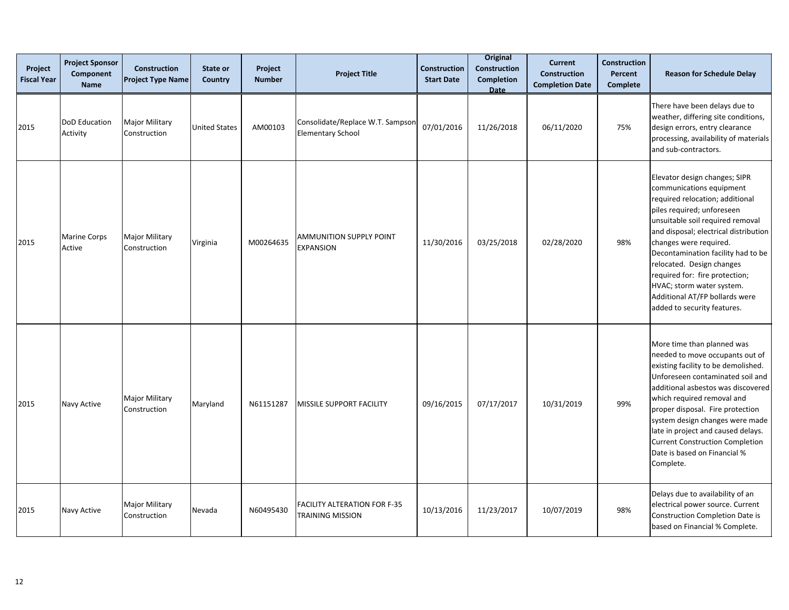| Project<br><b>Fiscal Year</b> | <b>Project Sponsor</b><br>Component<br><b>Name</b> | <b>Construction</b><br><b>Project Type Name</b> | State or<br>Country  | Project<br><b>Number</b> | <b>Project Title</b>                                         | Construction<br><b>Start Date</b> | <b>Original</b><br><b>Construction</b><br><b>Completion</b><br><b>Date</b> | <b>Current</b><br><b>Construction</b><br><b>Completion Date</b> | <b>Construction</b><br>Percent<br><b>Complete</b> | <b>Reason for Schedule Delay</b>                                                                                                                                                                                                                                                                                                                                                                                                     |
|-------------------------------|----------------------------------------------------|-------------------------------------------------|----------------------|--------------------------|--------------------------------------------------------------|-----------------------------------|----------------------------------------------------------------------------|-----------------------------------------------------------------|---------------------------------------------------|--------------------------------------------------------------------------------------------------------------------------------------------------------------------------------------------------------------------------------------------------------------------------------------------------------------------------------------------------------------------------------------------------------------------------------------|
| 2015                          | DoD Education<br>Activity                          | <b>Major Military</b><br>Construction           | <b>United States</b> | AM00103                  | Consolidate/Replace W.T. Sampson<br><b>Elementary School</b> | 07/01/2016                        | 11/26/2018                                                                 | 06/11/2020                                                      | 75%                                               | There have been delays due to<br>weather, differing site conditions,<br>design errors, entry clearance<br>processing, availability of materials<br>and sub-contractors.                                                                                                                                                                                                                                                              |
| 2015                          | <b>Marine Corps</b><br>Active                      | <b>Major Military</b><br>Construction           | Virginia             | M00264635                | <b>AMMUNITION SUPPLY POINT</b><br><b>EXPANSION</b>           | 11/30/2016                        | 03/25/2018                                                                 | 02/28/2020                                                      | 98%                                               | Elevator design changes; SIPR<br>communications equipment<br>required relocation; additional<br>piles required; unforeseen<br>unsuitable soil required removal<br>and disposal; electrical distribution<br>changes were required.<br>Decontamination facility had to be<br>relocated. Design changes<br>required for: fire protection;<br>HVAC; storm water system.<br>Additional AT/FP bollards were<br>added to security features. |
| 2015                          | Navy Active                                        | <b>Major Military</b><br>Construction           | Maryland             | N61151287                | MISSILE SUPPORT FACILITY                                     | 09/16/2015                        | 07/17/2017                                                                 | 10/31/2019                                                      | 99%                                               | More time than planned was<br>needed to move occupants out of<br>existing facility to be demolished.<br>Unforeseen contaminated soil and<br>additional asbestos was discovered<br>which required removal and<br>proper disposal. Fire protection<br>system design changes were made<br>late in project and caused delays.<br><b>Current Construction Completion</b><br>Date is based on Financial %<br>Complete.                     |
| 2015                          | Navy Active                                        | <b>Major Military</b><br>Construction           | Nevada               | N60495430                | <b>FACILITY ALTERATION FOR F-35</b><br>TRAINING MISSION      | 10/13/2016                        | 11/23/2017                                                                 | 10/07/2019                                                      | 98%                                               | Delays due to availability of an<br>electrical power source. Current<br><b>Construction Completion Date is</b><br>based on Financial % Complete.                                                                                                                                                                                                                                                                                     |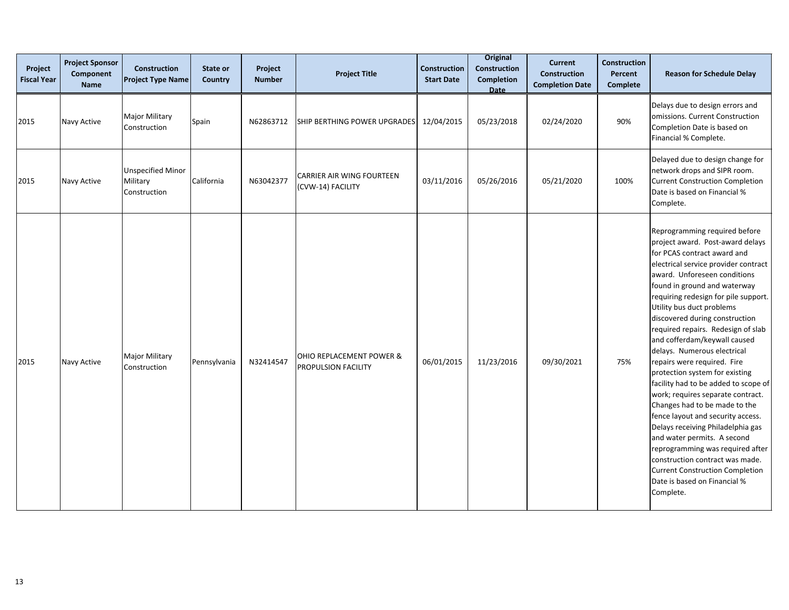| Project<br><b>Fiscal Year</b> | <b>Project Sponsor</b><br>Component<br><b>Name</b> | <b>Construction</b><br><b>Project Type Name</b>      | State or<br>Country | Project<br><b>Number</b> | <b>Project Title</b>                                  | <b>Construction</b><br><b>Start Date</b> | <b>Original</b><br>Construction<br><b>Completion</b><br><b>Date</b> | <b>Current</b><br><b>Construction</b><br><b>Completion Date</b> | <b>Construction</b><br><b>Percent</b><br><b>Complete</b> | <b>Reason for Schedule Delay</b>                                                                                                                                                                                                                                                                                                                                                                                                                                                                                                                                                                                                                                                                                                                                                                                                                                           |
|-------------------------------|----------------------------------------------------|------------------------------------------------------|---------------------|--------------------------|-------------------------------------------------------|------------------------------------------|---------------------------------------------------------------------|-----------------------------------------------------------------|----------------------------------------------------------|----------------------------------------------------------------------------------------------------------------------------------------------------------------------------------------------------------------------------------------------------------------------------------------------------------------------------------------------------------------------------------------------------------------------------------------------------------------------------------------------------------------------------------------------------------------------------------------------------------------------------------------------------------------------------------------------------------------------------------------------------------------------------------------------------------------------------------------------------------------------------|
| 2015                          | Navy Active                                        | <b>Major Military</b><br>Construction                | Spain               | N62863712                | SHIP BERTHING POWER UPGRADES                          | 12/04/2015                               | 05/23/2018                                                          | 02/24/2020                                                      | 90%                                                      | Delays due to design errors and<br>omissions. Current Construction<br>Completion Date is based on<br>Financial % Complete.                                                                                                                                                                                                                                                                                                                                                                                                                                                                                                                                                                                                                                                                                                                                                 |
| 2015                          | Navy Active                                        | <b>Unspecified Minor</b><br>Military<br>Construction | California          | N63042377                | <b>CARRIER AIR WING FOURTEEN</b><br>(CVW-14) FACILITY | 03/11/2016                               | 05/26/2016                                                          | 05/21/2020                                                      | 100%                                                     | Delayed due to design change for<br>network drops and SIPR room.<br><b>Current Construction Completion</b><br>Date is based on Financial %<br>Complete.                                                                                                                                                                                                                                                                                                                                                                                                                                                                                                                                                                                                                                                                                                                    |
| 2015                          | Navy Active                                        | <b>Major Military</b><br>Construction                | Pennsylvania        | N32414547                | OHIO REPLACEMENT POWER &<br>PROPULSION FACILITY       | 06/01/2015                               | 11/23/2016                                                          | 09/30/2021                                                      | 75%                                                      | Reprogramming required before<br>project award. Post-award delays<br>for PCAS contract award and<br>electrical service provider contract<br>award. Unforeseen conditions<br>found in ground and waterway<br>requiring redesign for pile support.<br>Utility bus duct problems<br>discovered during construction<br>required repairs. Redesign of slab<br>and cofferdam/keywall caused<br>delays. Numerous electrical<br>repairs were required. Fire<br>protection system for existing<br>facility had to be added to scope of<br>work; requires separate contract.<br>Changes had to be made to the<br>fence layout and security access.<br>Delays receiving Philadelphia gas<br>and water permits. A second<br>reprogramming was required after<br>construction contract was made.<br><b>Current Construction Completion</b><br>Date is based on Financial %<br>Complete. |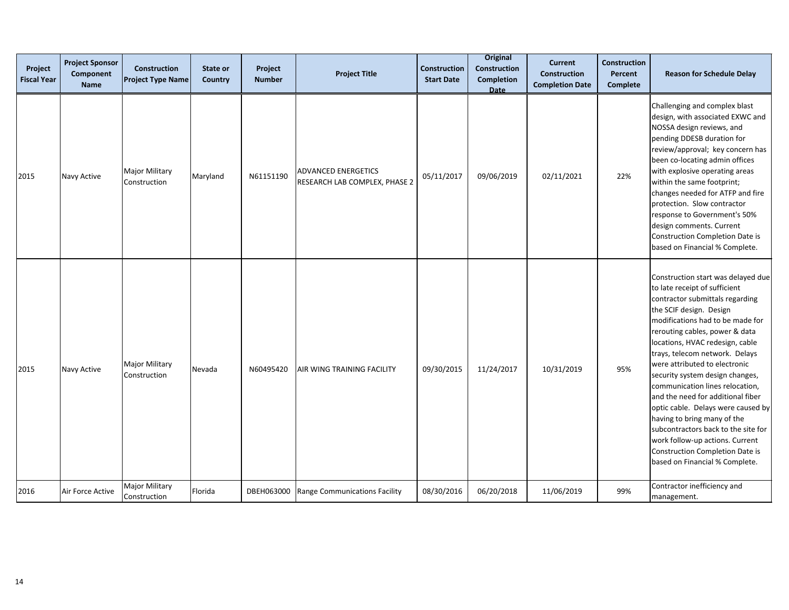| Project<br><b>Fiscal Year</b> | <b>Project Sponsor</b><br>Component<br><b>Name</b> | Construction<br><b>Project Type Name</b> | State or<br>Country | Project<br><b>Number</b> | <b>Project Title</b>                                        | Construction<br><b>Start Date</b> | <b>Original</b><br>Construction<br>Completion<br>Date | <b>Current</b><br><b>Construction</b><br><b>Completion Date</b> | <b>Construction</b><br>Percent<br>Complete | <b>Reason for Schedule Delay</b>                                                                                                                                                                                                                                                                                                                                                                                                                                                                                                                                                                                                             |
|-------------------------------|----------------------------------------------------|------------------------------------------|---------------------|--------------------------|-------------------------------------------------------------|-----------------------------------|-------------------------------------------------------|-----------------------------------------------------------------|--------------------------------------------|----------------------------------------------------------------------------------------------------------------------------------------------------------------------------------------------------------------------------------------------------------------------------------------------------------------------------------------------------------------------------------------------------------------------------------------------------------------------------------------------------------------------------------------------------------------------------------------------------------------------------------------------|
| 2015                          | Navy Active                                        | <b>Major Military</b><br>Construction    | Maryland            | N61151190                | <b>ADVANCED ENERGETICS</b><br>RESEARCH LAB COMPLEX, PHASE 2 | 05/11/2017                        | 09/06/2019                                            | 02/11/2021                                                      | 22%                                        | Challenging and complex blast<br>design, with associated EXWC and<br>NOSSA design reviews, and<br>pending DDESB duration for<br>review/approval; key concern has<br>been co-locating admin offices<br>with explosive operating areas<br>within the same footprint;<br>changes needed for ATFP and fire<br>protection. Slow contractor<br>response to Government's 50%<br>design comments. Current<br><b>Construction Completion Date is</b><br>based on Financial % Complete.                                                                                                                                                                |
| 2015                          | Navy Active                                        | <b>Major Military</b><br>Construction    | Nevada              | N60495420                | AIR WING TRAINING FACILITY                                  | 09/30/2015                        | 11/24/2017                                            | 10/31/2019                                                      | 95%                                        | Construction start was delayed due<br>to late receipt of sufficient<br>contractor submittals regarding<br>the SCIF design. Design<br>modifications had to be made for<br>rerouting cables, power & data<br>locations, HVAC redesign, cable<br>trays, telecom network. Delays<br>were attributed to electronic<br>security system design changes,<br>communication lines relocation,<br>and the need for additional fiber<br>optic cable. Delays were caused by<br>having to bring many of the<br>subcontractors back to the site for<br>work follow-up actions. Current<br>Construction Completion Date is<br>based on Financial % Complete. |
| 2016                          | Air Force Active                                   | Major Military<br>Construction           | Florida             | DBEH063000               | Range Communications Facility                               | 08/30/2016                        | 06/20/2018                                            | 11/06/2019                                                      | 99%                                        | Contractor inefficiency and<br>management.                                                                                                                                                                                                                                                                                                                                                                                                                                                                                                                                                                                                   |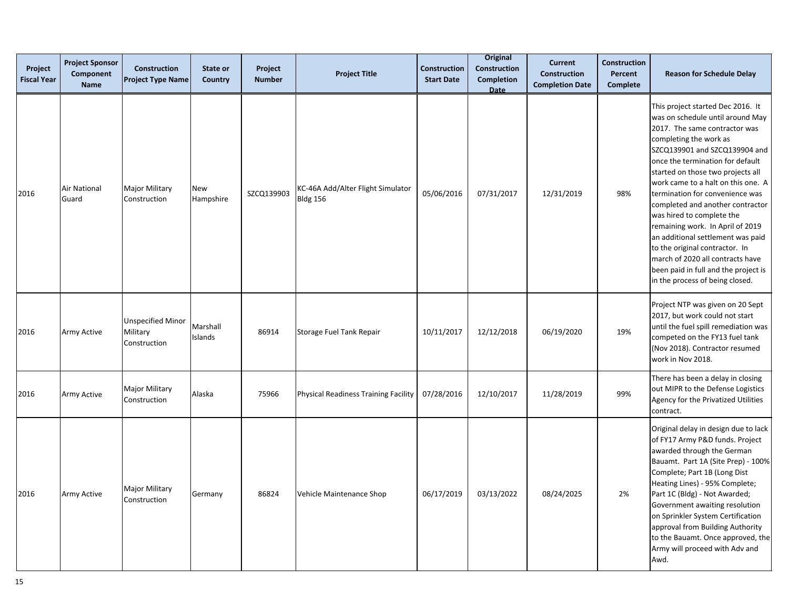| Project<br><b>Fiscal Year</b> | <b>Project Sponsor</b><br>Component<br><b>Name</b> | <b>Construction</b><br><b>Project Type Name</b>      | State or<br>Country | Project<br><b>Number</b> | <b>Project Title</b>                                 | Construction<br><b>Start Date</b> | <b>Original</b><br><b>Construction</b><br><b>Completion</b><br><b>Date</b> | <b>Current</b><br><b>Construction</b><br><b>Completion Date</b> | <b>Construction</b><br>Percent<br><b>Complete</b> | <b>Reason for Schedule Delay</b>                                                                                                                                                                                                                                                                                                                                                                                                                                                                                                                                                                               |
|-------------------------------|----------------------------------------------------|------------------------------------------------------|---------------------|--------------------------|------------------------------------------------------|-----------------------------------|----------------------------------------------------------------------------|-----------------------------------------------------------------|---------------------------------------------------|----------------------------------------------------------------------------------------------------------------------------------------------------------------------------------------------------------------------------------------------------------------------------------------------------------------------------------------------------------------------------------------------------------------------------------------------------------------------------------------------------------------------------------------------------------------------------------------------------------------|
| 2016                          | Air National<br>Guard                              | Major Military<br>Construction                       | New<br>Hampshire    | SZCQ139903               | KC-46A Add/Alter Flight Simulator<br><b>Bldg 156</b> | 05/06/2016                        | 07/31/2017                                                                 | 12/31/2019                                                      | 98%                                               | This project started Dec 2016. It<br>was on schedule until around May<br>2017. The same contractor was<br>completing the work as<br>SZCQ139901 and SZCQ139904 and<br>once the termination for default<br>started on those two projects all<br>work came to a halt on this one. A<br>termination for convenience was<br>completed and another contractor<br>was hired to complete the<br>remaining work. In April of 2019<br>an additional settlement was paid<br>to the original contractor. In<br>march of 2020 all contracts have<br>been paid in full and the project is<br>in the process of being closed. |
| 2016                          | Army Active                                        | <b>Unspecified Minor</b><br>Military<br>Construction | Marshall<br>Islands | 86914                    | Storage Fuel Tank Repair                             | 10/11/2017                        | 12/12/2018                                                                 | 06/19/2020                                                      | 19%                                               | Project NTP was given on 20 Sept<br>2017, but work could not start<br>until the fuel spill remediation was<br>competed on the FY13 fuel tank<br>(Nov 2018). Contractor resumed<br>work in Nov 2018.                                                                                                                                                                                                                                                                                                                                                                                                            |
| 2016                          | Army Active                                        | Major Military<br>Construction                       | Alaska              | 75966                    | Physical Readiness Training Facility                 | 07/28/2016                        | 12/10/2017                                                                 | 11/28/2019                                                      | 99%                                               | There has been a delay in closing<br>out MIPR to the Defense Logistics<br>Agency for the Privatized Utilities<br>contract.                                                                                                                                                                                                                                                                                                                                                                                                                                                                                     |
| 2016                          | Army Active                                        | Major Military<br>Construction                       | Germany             | 86824                    | Vehicle Maintenance Shop                             | 06/17/2019                        | 03/13/2022                                                                 | 08/24/2025                                                      | 2%                                                | Original delay in design due to lack<br>of FY17 Army P&D funds. Project<br>awarded through the German<br>Bauamt. Part 1A (Site Prep) - 100%<br>Complete; Part 1B (Long Dist<br>Heating Lines) - 95% Complete;<br>Part 1C (Bldg) - Not Awarded;<br>Government awaiting resolution<br>on Sprinkler System Certification<br>approval from Building Authority<br>to the Bauamt. Once approved, the<br>Army will proceed with Adv and<br>Awd.                                                                                                                                                                       |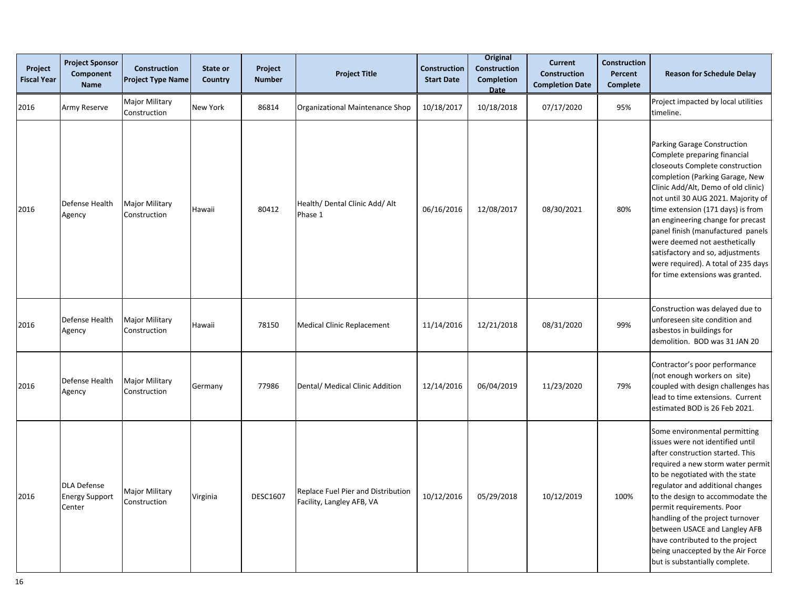| Project<br><b>Fiscal Year</b> | <b>Project Sponsor</b><br>Component<br><b>Name</b>    | <b>Construction</b><br><b>Project Type Name</b> | State or<br>Country | Project<br><b>Number</b> | <b>Project Title</b>                                            | <b>Construction</b><br><b>Start Date</b> | Original<br>Construction<br><b>Completion</b><br>Date | <b>Current</b><br>Construction<br><b>Completion Date</b> | <b>Construction</b><br>Percent<br><b>Complete</b> | <b>Reason for Schedule Delay</b>                                                                                                                                                                                                                                                                                                                                                                                                                                              |
|-------------------------------|-------------------------------------------------------|-------------------------------------------------|---------------------|--------------------------|-----------------------------------------------------------------|------------------------------------------|-------------------------------------------------------|----------------------------------------------------------|---------------------------------------------------|-------------------------------------------------------------------------------------------------------------------------------------------------------------------------------------------------------------------------------------------------------------------------------------------------------------------------------------------------------------------------------------------------------------------------------------------------------------------------------|
| 2016                          | Army Reserve                                          | Major Military<br>Construction                  | New York            | 86814                    | Organizational Maintenance Shop                                 | 10/18/2017                               | 10/18/2018                                            | 07/17/2020                                               | 95%                                               | Project impacted by local utilities<br>timeline.                                                                                                                                                                                                                                                                                                                                                                                                                              |
| 2016                          | Defense Health<br>Agency                              | <b>Major Military</b><br>Construction           | Hawaii              | 80412                    | Health/ Dental Clinic Add/ Alt<br>Phase 1                       | 06/16/2016                               | 12/08/2017                                            | 08/30/2021                                               | 80%                                               | Parking Garage Construction<br>Complete preparing financial<br>closeouts Complete construction<br>completion (Parking Garage, New<br>Clinic Add/Alt, Demo of old clinic)<br>not until 30 AUG 2021. Majority of<br>time extension (171 days) is from<br>an engineering change for precast<br>panel finish (manufactured panels<br>were deemed not aesthetically<br>satisfactory and so, adjustments<br>were required). A total of 235 days<br>for time extensions was granted. |
| 2016                          | Defense Health<br>Agency                              | <b>Major Military</b><br>Construction           | Hawaii              | 78150                    | <b>Medical Clinic Replacement</b>                               | 11/14/2016                               | 12/21/2018                                            | 08/31/2020                                               | 99%                                               | Construction was delayed due to<br>unforeseen site condition and<br>asbestos in buildings for<br>demolition. BOD was 31 JAN 20                                                                                                                                                                                                                                                                                                                                                |
| 2016                          | Defense Health<br>Agency                              | <b>Major Military</b><br>Construction           | Germany             | 77986                    | Dental/ Medical Clinic Addition                                 | 12/14/2016                               | 06/04/2019                                            | 11/23/2020                                               | 79%                                               | Contractor's poor performance<br>(not enough workers on site)<br>coupled with design challenges has<br>lead to time extensions. Current<br>estimated BOD is 26 Feb 2021.                                                                                                                                                                                                                                                                                                      |
| 2016                          | <b>DLA Defense</b><br><b>Energy Support</b><br>Center | <b>Major Military</b><br>Construction           | Virginia            | <b>DESC1607</b>          | Replace Fuel Pier and Distribution<br>Facility, Langley AFB, VA | 10/12/2016                               | 05/29/2018                                            | 10/12/2019                                               | 100%                                              | Some environmental permitting<br>issues were not identified until<br>after construction started. This<br>required a new storm water permit<br>to be negotiated with the state<br>regulator and additional changes<br>to the design to accommodate the<br>permit requirements. Poor<br>handling of the project turnover<br>between USACE and Langley AFB<br>have contributed to the project<br>being unaccepted by the Air Force<br>but is substantially complete.             |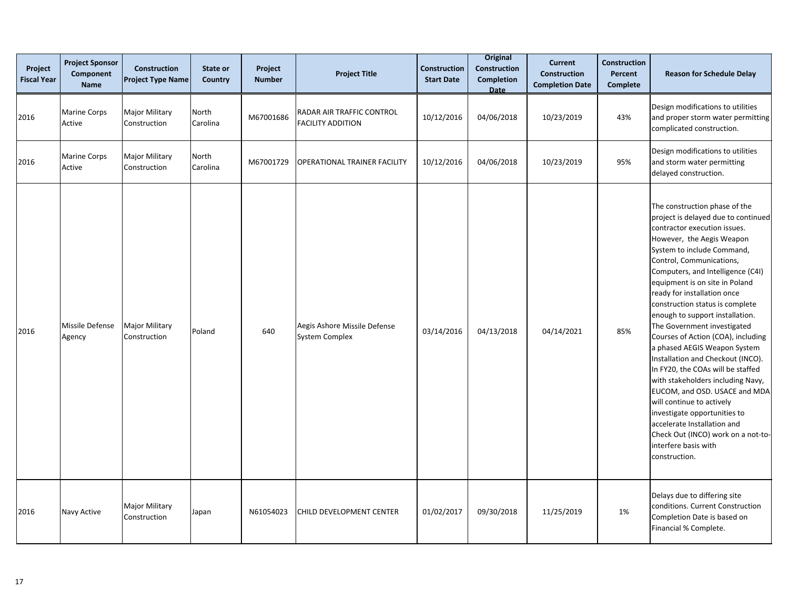| Project<br><b>Fiscal Year</b> | <b>Project Sponsor</b><br>Component<br><b>Name</b> | <b>Construction</b><br><b>Project Type Name</b> | State or<br>Country | Project<br><b>Number</b> | <b>Project Title</b>                                  | <b>Construction</b><br><b>Start Date</b> | <b>Original</b><br><b>Construction</b><br><b>Completion</b><br>Date | <b>Current</b><br><b>Construction</b><br><b>Completion Date</b> | <b>Construction</b><br>Percent<br><b>Complete</b> | <b>Reason for Schedule Delay</b>                                                                                                                                                                                                                                                                                                                                                                                                                                                                                                                                                                                                                                                                                                                                                                        |
|-------------------------------|----------------------------------------------------|-------------------------------------------------|---------------------|--------------------------|-------------------------------------------------------|------------------------------------------|---------------------------------------------------------------------|-----------------------------------------------------------------|---------------------------------------------------|---------------------------------------------------------------------------------------------------------------------------------------------------------------------------------------------------------------------------------------------------------------------------------------------------------------------------------------------------------------------------------------------------------------------------------------------------------------------------------------------------------------------------------------------------------------------------------------------------------------------------------------------------------------------------------------------------------------------------------------------------------------------------------------------------------|
| 2016                          | <b>Marine Corps</b><br>Active                      | <b>Major Military</b><br>Construction           | North<br>Carolina   | M67001686                | RADAR AIR TRAFFIC CONTROL<br><b>FACILITY ADDITION</b> | 10/12/2016                               | 04/06/2018                                                          | 10/23/2019                                                      | 43%                                               | Design modifications to utilities<br>and proper storm water permitting<br>complicated construction.                                                                                                                                                                                                                                                                                                                                                                                                                                                                                                                                                                                                                                                                                                     |
| 2016                          | <b>Marine Corps</b><br>Active                      | <b>Major Military</b><br>Construction           | North<br>Carolina   | M67001729                | OPERATIONAL TRAINER FACILITY                          | 10/12/2016                               | 04/06/2018                                                          | 10/23/2019                                                      | 95%                                               | Design modifications to utilities<br>and storm water permitting<br>delayed construction.                                                                                                                                                                                                                                                                                                                                                                                                                                                                                                                                                                                                                                                                                                                |
| 2016                          | Missile Defense<br>Agency                          | <b>Major Military</b><br>Construction           | Poland              | 640                      | Aegis Ashore Missile Defense<br><b>System Complex</b> | 03/14/2016                               | 04/13/2018                                                          | 04/14/2021                                                      | 85%                                               | The construction phase of the<br>project is delayed due to continued<br>contractor execution issues.<br>However, the Aegis Weapon<br>System to include Command,<br>Control, Communications,<br>Computers, and Intelligence (C4I)<br>equipment is on site in Poland<br>ready for installation once<br>construction status is complete<br>enough to support installation.<br>The Government investigated<br>Courses of Action (COA), including<br>a phased AEGIS Weapon System<br>Installation and Checkout (INCO).<br>In FY20, the COAs will be staffed<br>with stakeholders including Navy,<br>EUCOM, and OSD. USACE and MDA<br>will continue to actively<br>investigate opportunities to<br>accelerate Installation and<br>Check Out (INCO) work on a not-to-<br>interfere basis with<br>construction. |
| 2016                          | Navy Active                                        | <b>Major Military</b><br>Construction           | Japan               | N61054023                | CHILD DEVELOPMENT CENTER                              | 01/02/2017                               | 09/30/2018                                                          | 11/25/2019                                                      | 1%                                                | Delays due to differing site<br>conditions. Current Construction<br>Completion Date is based on<br>Financial % Complete.                                                                                                                                                                                                                                                                                                                                                                                                                                                                                                                                                                                                                                                                                |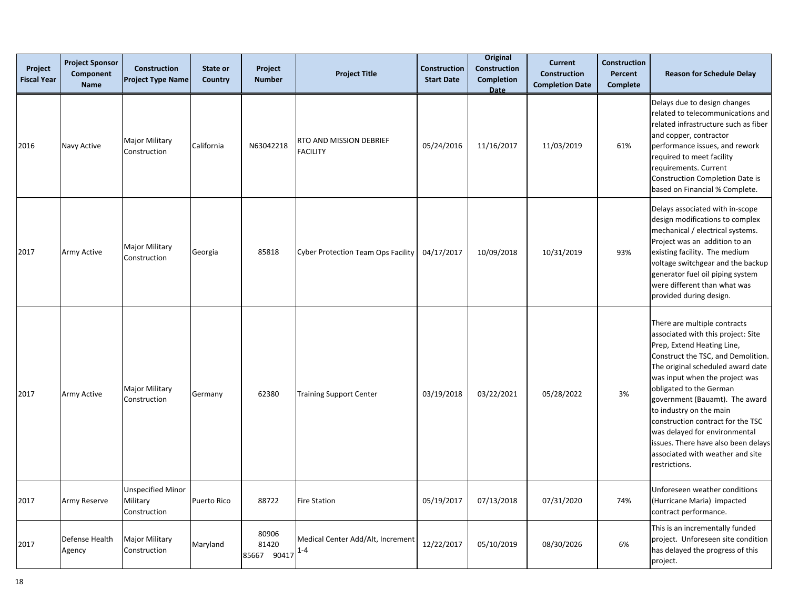| Project<br><b>Fiscal Year</b> | <b>Project Sponsor</b><br>Component<br><b>Name</b> | Construction<br><b>Project Type Name</b>             | State or<br>Country | Project<br><b>Number</b>      | <b>Project Title</b>                         | <b>Construction</b><br><b>Start Date</b> | <b>Original</b><br><b>Construction</b><br><b>Completion</b><br><b>Date</b> | <b>Current</b><br><b>Construction</b><br><b>Completion Date</b> | <b>Construction</b><br>Percent<br><b>Complete</b> | <b>Reason for Schedule Delay</b>                                                                                                                                                                                                                                                                                                                                                                                                                                        |
|-------------------------------|----------------------------------------------------|------------------------------------------------------|---------------------|-------------------------------|----------------------------------------------|------------------------------------------|----------------------------------------------------------------------------|-----------------------------------------------------------------|---------------------------------------------------|-------------------------------------------------------------------------------------------------------------------------------------------------------------------------------------------------------------------------------------------------------------------------------------------------------------------------------------------------------------------------------------------------------------------------------------------------------------------------|
| 2016                          | Navy Active                                        | <b>Major Military</b><br>Construction                | California          | N63042218                     | RTO AND MISSION DEBRIEF<br><b>FACILITY</b>   | 05/24/2016                               | 11/16/2017                                                                 | 11/03/2019                                                      | 61%                                               | Delays due to design changes<br>related to telecommunications and<br>related infrastructure such as fiber<br>and copper, contractor<br>performance issues, and rework<br>required to meet facility<br>requirements. Current<br>Construction Completion Date is<br>based on Financial % Complete.                                                                                                                                                                        |
| 2017                          | <b>Army Active</b>                                 | <b>Major Military</b><br>Construction                | Georgia             | 85818                         | <b>Cyber Protection Team Ops Facility</b>    | 04/17/2017                               | 10/09/2018                                                                 | 10/31/2019                                                      | 93%                                               | Delays associated with in-scope<br>design modifications to complex<br>mechanical / electrical systems.<br>Project was an addition to an<br>existing facility. The medium<br>voltage switchgear and the backup<br>generator fuel oil piping system<br>were different than what was<br>provided during design.                                                                                                                                                            |
| 2017                          | <b>Army Active</b>                                 | Major Military<br>Construction                       | Germany             | 62380                         | <b>Training Support Center</b>               | 03/19/2018                               | 03/22/2021                                                                 | 05/28/2022                                                      | 3%                                                | There are multiple contracts<br>associated with this project: Site<br>Prep, Extend Heating Line,<br>Construct the TSC, and Demolition.<br>The original scheduled award date<br>was input when the project was<br>obligated to the German<br>government (Bauamt). The award<br>to industry on the main<br>construction contract for the TSC<br>was delayed for environmental<br>issues. There have also been delays<br>associated with weather and site<br>restrictions. |
| 2017                          | <b>Army Reserve</b>                                | <b>Unspecified Minor</b><br>Military<br>Construction | Puerto Rico         | 88722                         | <b>Fire Station</b>                          | 05/19/2017                               | 07/13/2018                                                                 | 07/31/2020                                                      | 74%                                               | Unforeseen weather conditions<br>(Hurricane Maria) impacted<br>contract performance.                                                                                                                                                                                                                                                                                                                                                                                    |
| 2017                          | <b>Defense Health</b><br>Agency                    | Major Military<br>Construction                       | Maryland            | 80906<br>81420<br>85667 90417 | Medical Center Add/Alt, Increment<br>$1 - 4$ | 12/22/2017                               | 05/10/2019                                                                 | 08/30/2026                                                      | 6%                                                | This is an incrementally funded<br>project. Unforeseen site condition<br>has delayed the progress of this<br>project.                                                                                                                                                                                                                                                                                                                                                   |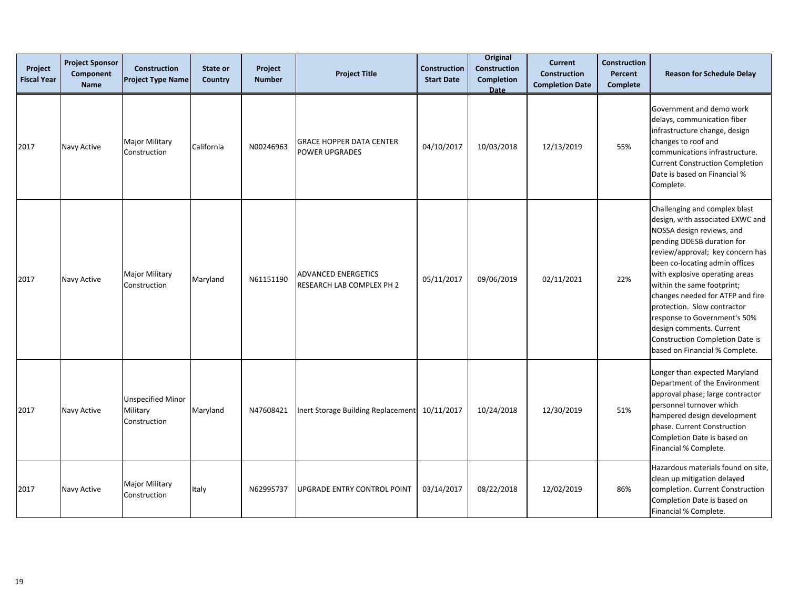| Project<br><b>Fiscal Year</b> | <b>Project Sponsor</b><br>Component<br><b>Name</b> | <b>Construction</b><br><b>Project Type Name</b>      | State or<br>Country | Project<br><b>Number</b> | <b>Project Title</b>                                     | Construction<br><b>Start Date</b> | <b>Original</b><br><b>Construction</b><br><b>Completion</b><br>Date | <b>Current</b><br>Construction<br><b>Completion Date</b> | <b>Construction</b><br>Percent<br>Complete | <b>Reason for Schedule Delay</b>                                                                                                                                                                                                                                                                                                                                                                                                                                              |
|-------------------------------|----------------------------------------------------|------------------------------------------------------|---------------------|--------------------------|----------------------------------------------------------|-----------------------------------|---------------------------------------------------------------------|----------------------------------------------------------|--------------------------------------------|-------------------------------------------------------------------------------------------------------------------------------------------------------------------------------------------------------------------------------------------------------------------------------------------------------------------------------------------------------------------------------------------------------------------------------------------------------------------------------|
| 2017                          | Navy Active                                        | <b>Major Military</b><br>Construction                | California          | N00246963                | <b>GRACE HOPPER DATA CENTER</b><br><b>POWER UPGRADES</b> | 04/10/2017                        | 10/03/2018                                                          | 12/13/2019                                               | 55%                                        | Government and demo work<br>delays, communication fiber<br>infrastructure change, design<br>changes to roof and<br>communications infrastructure.<br><b>Current Construction Completion</b><br>Date is based on Financial %<br>Complete.                                                                                                                                                                                                                                      |
| 2017                          | Navy Active                                        | <b>Major Military</b><br>Construction                | Maryland            | N61151190                | <b>ADVANCED ENERGETICS</b><br>RESEARCH LAB COMPLEX PH 2  | 05/11/2017                        | 09/06/2019                                                          | 02/11/2021                                               | 22%                                        | Challenging and complex blast<br>design, with associated EXWC and<br>NOSSA design reviews, and<br>pending DDESB duration for<br>review/approval; key concern has<br>been co-locating admin offices<br>with explosive operating areas<br>within the same footprint;<br>changes needed for ATFP and fire<br>protection. Slow contractor<br>response to Government's 50%<br>design comments. Current<br><b>Construction Completion Date is</b><br>based on Financial % Complete. |
| 2017                          | Navy Active                                        | <b>Unspecified Minor</b><br>Military<br>Construction | Maryland            | N47608421                | Inert Storage Building Replacement                       | 10/11/2017                        | 10/24/2018                                                          | 12/30/2019                                               | 51%                                        | Longer than expected Maryland<br>Department of the Environment<br>approval phase; large contractor<br>personnel turnover which<br>hampered design development<br>phase. Current Construction<br>Completion Date is based on<br>Financial % Complete.                                                                                                                                                                                                                          |
| 2017                          | Navy Active                                        | <b>Major Military</b><br>Construction                | Italy               | N62995737                | UPGRADE ENTRY CONTROL POINT                              | 03/14/2017                        | 08/22/2018                                                          | 12/02/2019                                               | 86%                                        | Hazardous materials found on site,<br>clean up mitigation delayed<br>completion. Current Construction<br>Completion Date is based on<br>Financial % Complete.                                                                                                                                                                                                                                                                                                                 |